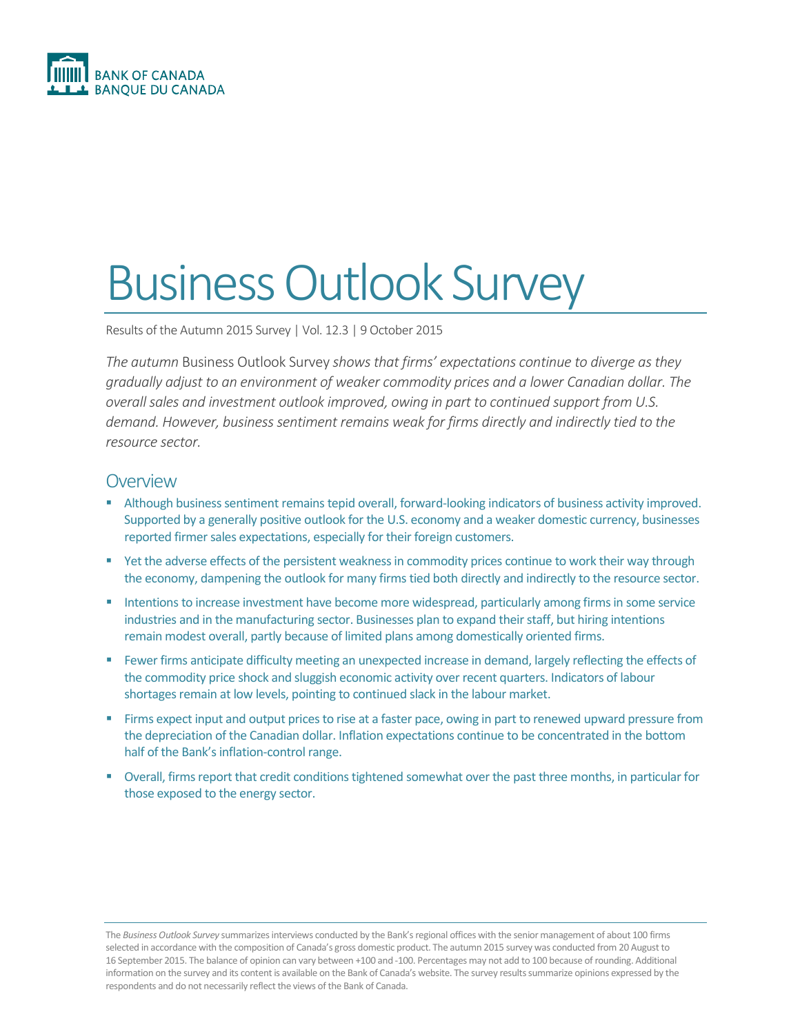

# Business Outlook Survey

Results of the Autumn 2015 Survey | Vol. 12.3 | 9 October 2015

*The autumn* Business Outlook Survey *shows that firms' expectations continue to diverge as they gradually adjust to an environment of weaker commodity prices and a lower Canadian dollar. The overall sales and investment outlook improved, owing in part to continued support from U.S. demand. However, business sentiment remains weak for firms directly and indirectly tied to the resource sector.* 

# **Overview**

- Although business sentiment remains tepid overall, forward-looking indicators of business activity improved. Supported by a generally positive outlook for the U.S. economy and a weaker domestic currency, businesses reported firmer sales expectations, especially for their foreign customers.
- P Yet the adverse effects of the persistent weakness in commodity prices continue to work their way through the economy, dampening the outlook for many firms tied both directly and indirectly to the resource sector.
- **Intentions to increase investment have become more widespread, particularly among firms in some service** industries and in the manufacturing sector. Businesses plan to expand their staff, but hiring intentions remain modest overall, partly because of limited plans among domestically oriented firms.
- Fewer firms anticipate difficulty meeting an unexpected increase in demand, largely reflecting the effects of the commodity price shock and sluggish economic activity over recent quarters. Indicators of labour shortages remain at low levels, pointing to continued slack in the labour market.
- Firms expect input and output prices to rise at a faster pace, owing in part to renewed upward pressure from the depreciation of the Canadian dollar. Inflation expectations continue to be concentrated in the bottom half of the Bank's inflation-control range.
- Overall, firms report that credit conditions tightened somewhat over the past three months, in particular for those exposed to the energy sector.

The *Business Outlook Survey* summarizes interviews conducted by the Bank's regional offices with the senior management of about 100 firms selected in accordance with the composition of Canada's gross domestic product. The autumn 2015 survey was conducted from 20 August to 16 September 2015. The balance of opinion can vary between +100 and -100. Percentages may not add to 100 because of rounding. Additional information on the survey and its content is available on the Bank of Canada's website. The survey results summarize opinions expressed by the respondents and do not necessarily reflect the views of the Bank of Canada.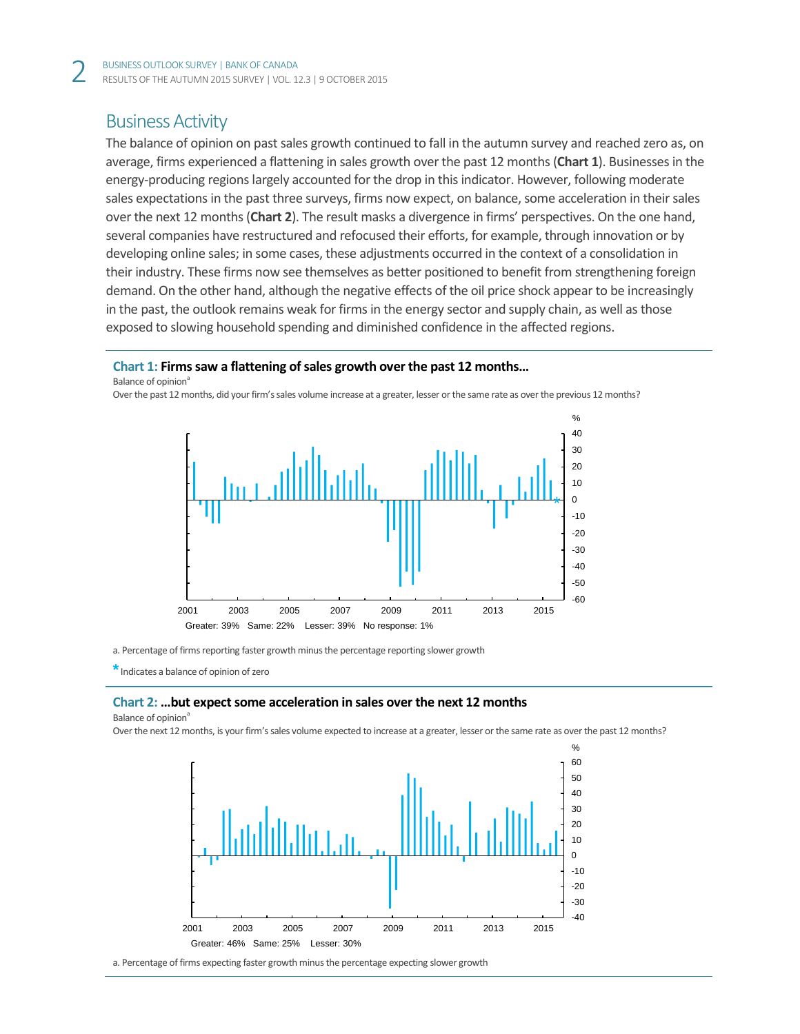# Business Activity

The balance of opinion on past sales growth continued to fall in the autumn survey and reached zero as, on average, firms experienced a flattening in sales growth over the past 12 months (**Chart 1**). Businessesin the energy-producing regions largely accounted for the drop in this indicator. However, following moderate sales expectations in the past three surveys, firms now expect, on balance, some acceleration in their sales over the next 12 months (**Chart 2**). The result masks a divergence in firms' perspectives. On the one hand, several companies have restructured and refocused their efforts, for example, through innovation or by developing online sales; in some cases, these adjustments occurred in the context of a consolidation in their industry. These firms now see themselves as better positioned to benefit from strengthening foreign demand. On the other hand, although the negative effects of the oil price shock appear to be increasingly in the past, the outlook remains weak for firms in the energy sector and supply chain, as well as those exposed to slowing household spending and diminished confidence in the affected regions.

# **Chart 1: Firms saw a flattening of sales growth over the past 12 months…**

Balance of opinion<sup>a</sup>





a. Percentage of firms reporting faster growth minus the percentage reporting slower growth

**\***Indicates a balance of opinion of zero

## **Chart 2: ...but expect some acceleration in sales over the next 12 months**

Balance of opinion<sup>a</sup>

Over the next 12 months, is your firm's sales volume expected to increase at a greater, lesser or the same rate as over the past 12 months?



a. Percentage of firms expecting faster growth minus the percentage expecting slower growth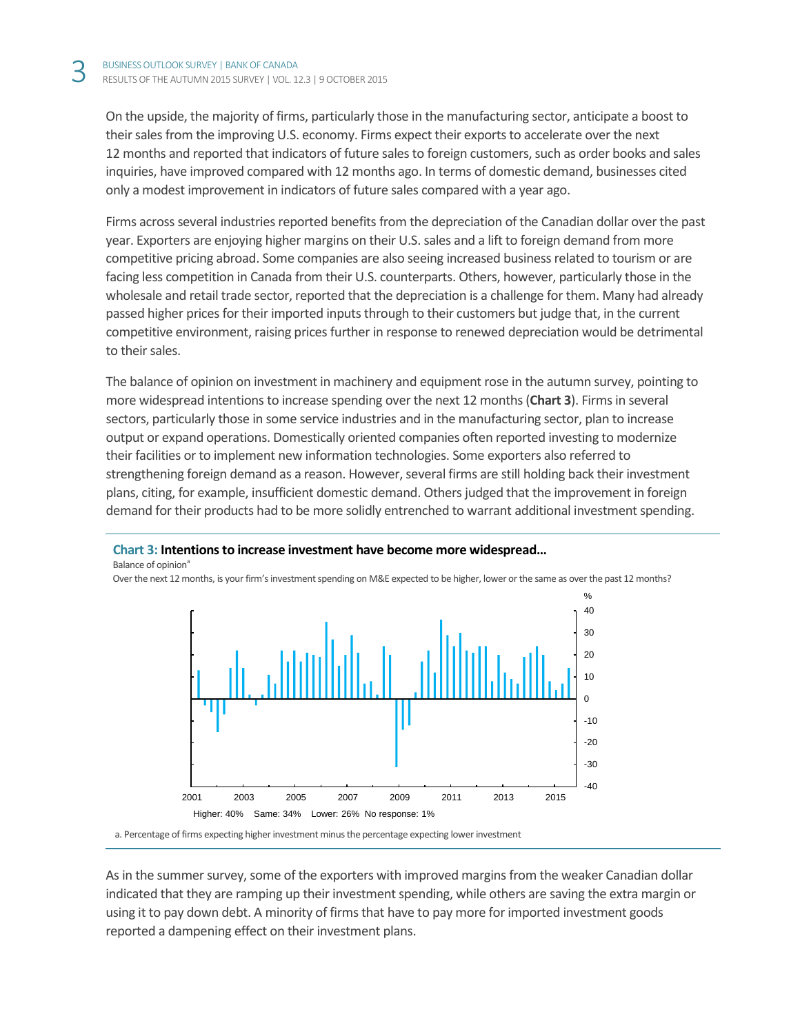Balance of opinion<sup>a</sup>

On the upside, the majority of firms, particularly those in the manufacturing sector, anticipate a boost to their sales from the improving U.S. economy. Firms expect their exports to accelerate over the next 12 months and reported that indicators of future salesto foreign customers, such as order books and sales inquiries, have improved compared with 12 months ago. In terms of domestic demand, businesses cited only a modest improvement in indicators of future sales compared with a year ago.

Firms across several industries reported benefits from the depreciation of the Canadian dollar over the past year. Exporters are enjoying higher margins on their U.S. sales and a lift to foreign demand from more competitive pricing abroad. Some companies are also seeing increased business related to tourism or are facing less competition in Canada from their U.S. counterparts. Others, however, particularly those in the wholesale and retail trade sector, reported that the depreciation is a challenge for them. Many had already passed higher prices for their imported inputs through to their customers but judge that, in the current competitive environment, raising prices further in response to renewed depreciation would be detrimental to their sales.

The balance of opinion on investment in machinery and equipment rose in the autumn survey, pointing to more widespread intentions to increase spending over the next 12 months(**Chart 3**). Firms in several sectors, particularly those in some service industries and in the manufacturing sector, plan to increase output or expand operations. Domestically oriented companies often reported investing to modernize their facilities or to implement new information technologies. Some exporters also referred to strengthening foreign demand as a reason. However, several firms are still holding back their investment plans, citing, for example, insufficient domestic demand. Others judged that the improvement in foreign demand for their products had to be more solidly entrenched to warrant additional investment spending.



Over the next 12 months, is your firm's investment spending on M&E expected to be higher, lower or the same as over the past 12 months?

**Chart 3: Intentions to increase investment have become more widespread…**

As in the summer survey, some of the exporters with improved margins from the weaker Canadian dollar indicated that they are ramping up their investment spending, while others are saving the extra margin or using it to pay down debt. A minority of firms that have to pay more for imported investment goods reported a dampening effect on their investment plans.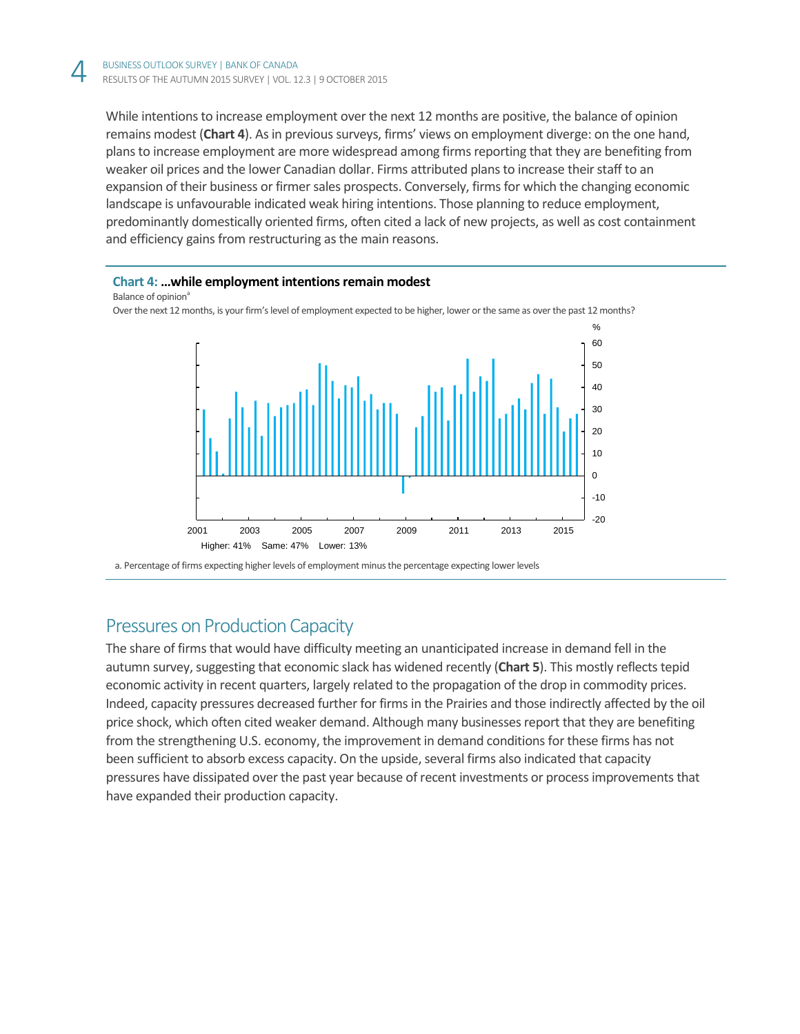While intentions to increase employment over the next 12 months are positive, the balance of opinion remains modest (**Chart 4**). As in previous surveys, firms' views on employment diverge: on the one hand, plans to increase employment are more widespread among firms reporting that they are benefiting from weaker oil prices and the lower Canadian dollar. Firms attributed plansto increase their staff to an expansion of their business or firmer sales prospects. Conversely, firms for which the changing economic landscape is unfavourable indicated weak hiring intentions. Those planning to reduce employment, predominantly domestically oriented firms, often cited a lack of new projects, as well as cost containment and efficiency gains from restructuring as the main reasons.

## **Chart 4: …while employment intentions remain modest**

Balance of opinion<sup>a</sup>

Over the next 12 months, is your firm's level of employment expected to be higher, lower or the same as over the past 12 months?



a. Percentage of firms expecting higher levels of employment minus the percentage expecting lower levels

# Pressures on Production Capacity

The share of firms that would have difficulty meeting an unanticipated increase in demand fell in the autumn survey, suggesting that economic slack has widened recently (**Chart 5**). This mostly reflects tepid economic activity in recent quarters, largely related to the propagation of the drop in commodity prices. Indeed, capacity pressures decreased further for firms in the Prairies and those indirectly affected by the oil price shock, which often cited weaker demand. Although many businesses report that they are benefiting from the strengthening U.S. economy, the improvement in demand conditions for these firms has not been sufficient to absorb excess capacity. On the upside, several firms also indicated that capacity pressures have dissipated over the past year because of recent investments or process improvements that have expanded their production capacity.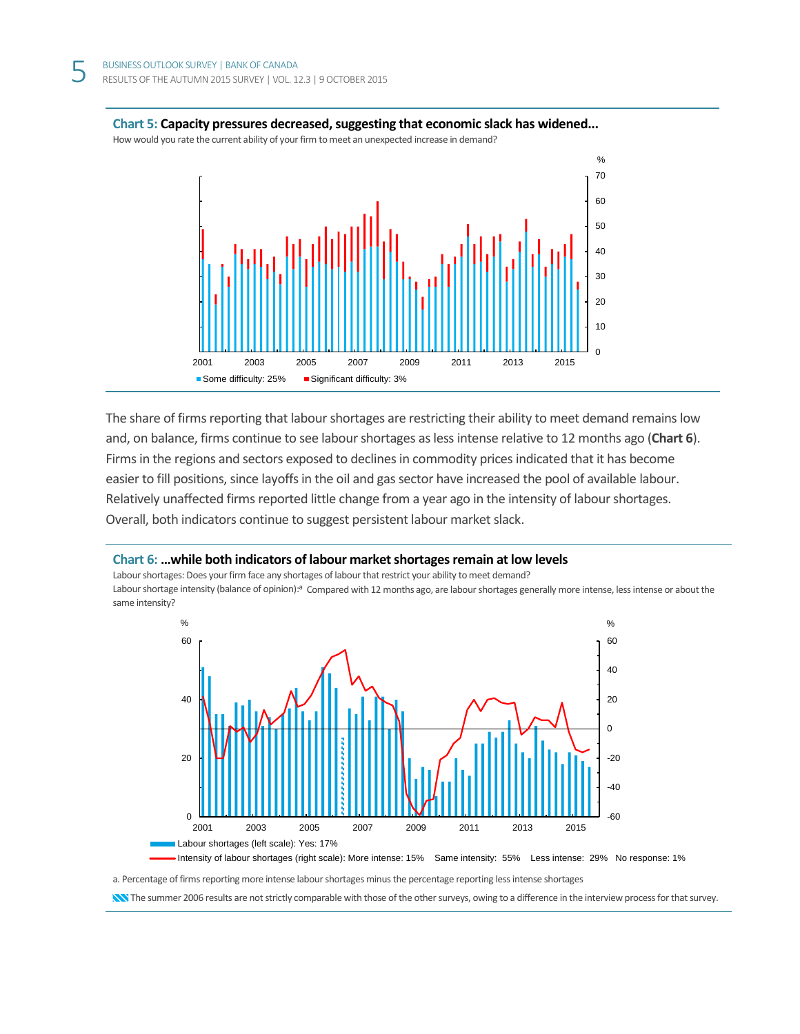

#### **Chart 5: Capacity pressures decreased, suggesting that economic slack has widened...**

How would you rate the current ability of your firm to meet an unexpected increase in demand?

The share of firms reporting that labour shortages are restricting their ability to meet demand remains low and, on balance, firms continue to see labour shortages as less intense relative to 12 months ago (**Chart 6**). Firms in the regions and sectors exposed to declines in commodity prices indicated that it has become easier to fill positions, since layoffs in the oil and gas sector have increased the pool of available labour. Relatively unaffected firms reported little change from a year ago in the intensity of labour shortages. Overall, both indicators continue to suggest persistent labour market slack.

## **Chart 6: …while both indicators of labour market shortages remain at low levels**

Labour shortages: Does your firm face any shortages of labour that restrict your ability to meet demand? Labour shortage intensity (balance of opinion):<sup>a</sup> Compared with 12 months ago, are labour shortages generally more intense, less intense or about the same intensity?



a. Percentage of firms reporting more intense labour shortages minus the percentage reporting less intense shortages

**NN** The summer 2006 results are not strictly comparable with those of the other surveys, owing to a difference in the interview process for that survey.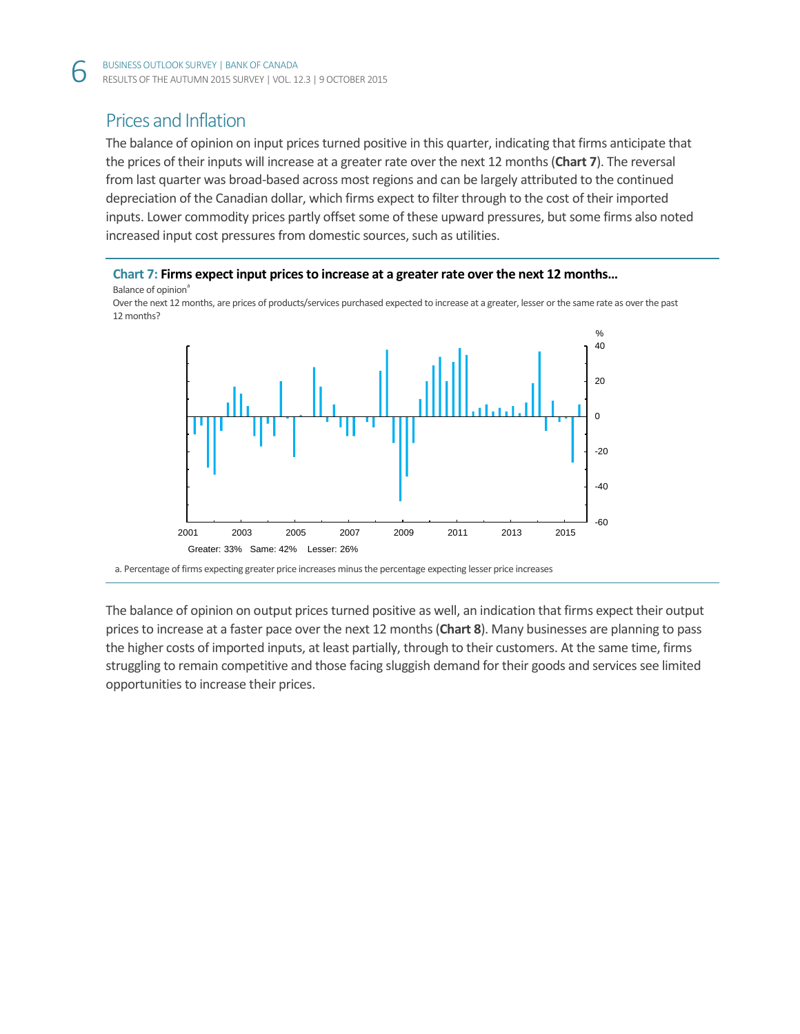# Prices and Inflation

The balance of opinion on input prices turned positive in this quarter, indicating that firms anticipate that the prices of their inputs will increase at a greater rate over the next 12 months(**Chart 7**). The reversal from last quarter was broad-based across most regions and can be largely attributed to the continued depreciation of the Canadian dollar, which firms expect to filter through to the cost of their imported inputs. Lower commodity prices partly offset some of these upward pressures, but some firms also noted increased input cost pressures from domestic sources, such as utilities.

**Chart 7: Firms expect input prices to increase at a greater rate over the next 12 months…** Balance of opinion<sup>a</sup>

Over the next 12 months, are prices of products/services purchased expected to increase at a greater, lesser or the same rate as over the past 12 months?



a. Percentage of firms expecting greater price increases minus the percentage expecting lesser price increases

The balance of opinion on output prices turned positive as well, an indication that firms expect their output prices to increase at a faster pace over the next 12 months(**Chart 8**). Many businesses are planning to pass the higher costs of imported inputs, at least partially, through to their customers. At the same time, firms struggling to remain competitive and those facing sluggish demand for their goods and services see limited opportunities to increase their prices.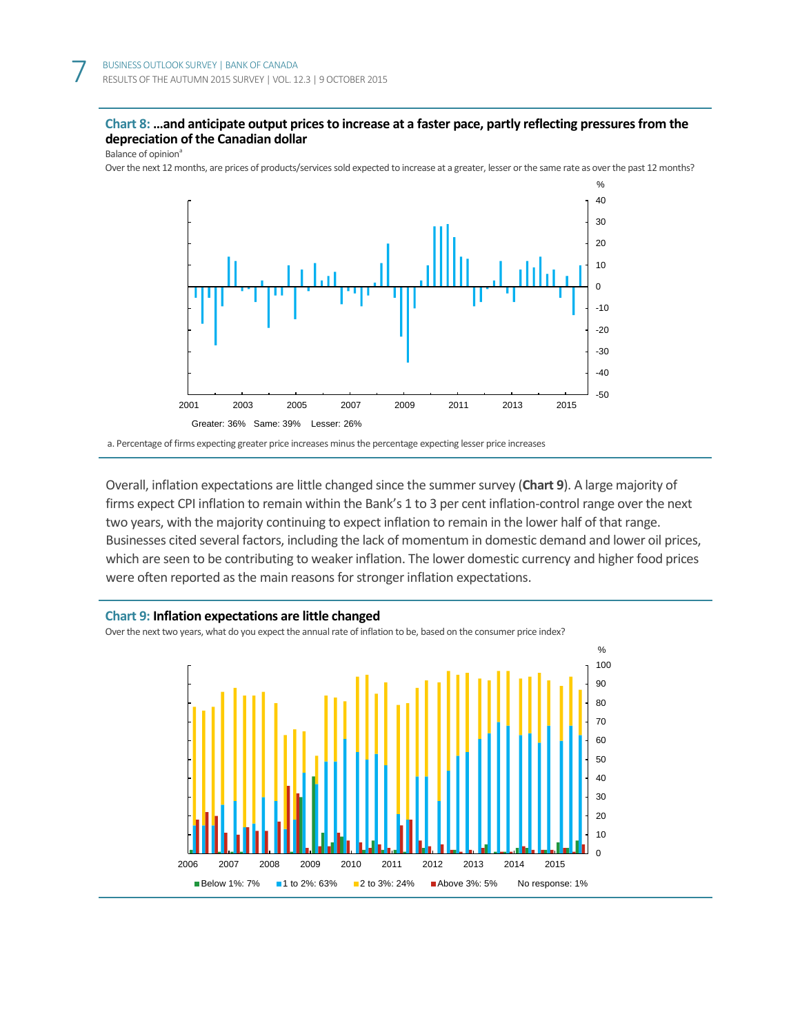# **Chart 8: …and anticipate output pricesto increase at a faster pace, partly reflecting pressures from the depreciation of the Canadian dollar**

Balance of opinion<sup>a</sup>

Over the next 12 months, are prices of products/services sold expected to increase at a greater, lesser or the same rate as over the past 12 months?



a. Percentage of firms expecting greater price increases minus the percentage expecting lesser price increases

Overall, inflation expectations are little changed since the summer survey (**Chart 9**). A large majority of firms expect CPI inflation to remain within the Bank's 1 to 3 per cent inflation-control range over the next two years, with the majority continuing to expect inflation to remain in the lower half of that range. Businesses cited several factors, including the lack of momentum in domestic demand and lower oil prices, which are seen to be contributing to weaker inflation. The lower domestic currency and higher food prices were often reported as the main reasons for stronger inflation expectations.